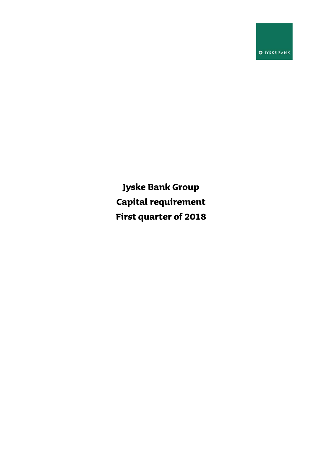**O** JYSKE BANK

**Jyske Bank Group Capital requirement First quarter of 2018**